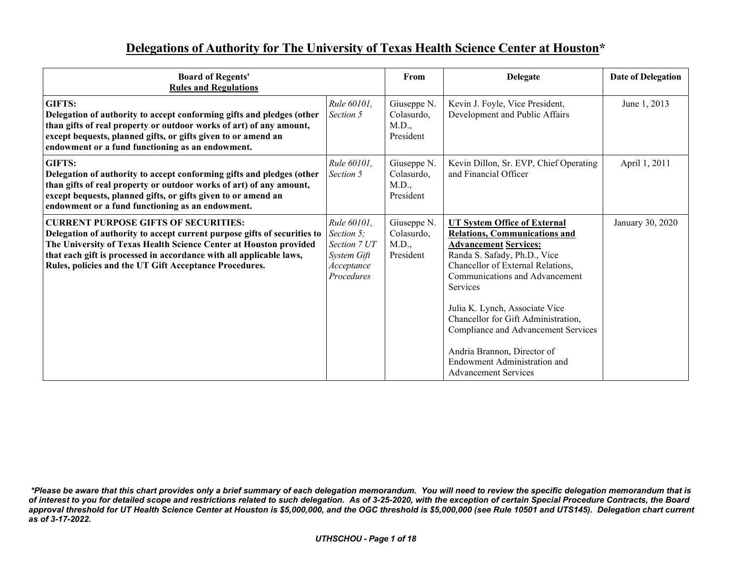## **Delegations of Authority for The University of Texas Health Science Center at Houston\***

| <b>Board of Regents'</b><br><b>Rules and Regulations</b>                                                                                                                                                                                                                                                                      |                                                                                      | From                                            | <b>Delegate</b>                                                                                                                                                                                                                                                                                                                                                                                                                                     | <b>Date of Delegation</b> |
|-------------------------------------------------------------------------------------------------------------------------------------------------------------------------------------------------------------------------------------------------------------------------------------------------------------------------------|--------------------------------------------------------------------------------------|-------------------------------------------------|-----------------------------------------------------------------------------------------------------------------------------------------------------------------------------------------------------------------------------------------------------------------------------------------------------------------------------------------------------------------------------------------------------------------------------------------------------|---------------------------|
| GIFTS:<br>Delegation of authority to accept conforming gifts and pledges (other<br>than gifts of real property or outdoor works of art) of any amount,<br>except bequests, planned gifts, or gifts given to or amend an<br>endowment or a fund functioning as an endowment.                                                   | Rule 60101,<br>Section 5                                                             | Giuseppe N.<br>Colasurdo,<br>M.D.,<br>President | Kevin J. Foyle, Vice President,<br>Development and Public Affairs                                                                                                                                                                                                                                                                                                                                                                                   | June 1, 2013              |
| GIFTS:<br>Delegation of authority to accept conforming gifts and pledges (other<br>than gifts of real property or outdoor works of art) of any amount,<br>except bequests, planned gifts, or gifts given to or amend an<br>endowment or a fund functioning as an endowment.                                                   | Rule 60101,<br>Section 5                                                             | Giuseppe N.<br>Colasurdo,<br>M.D.,<br>President | Kevin Dillon, Sr. EVP, Chief Operating<br>and Financial Officer                                                                                                                                                                                                                                                                                                                                                                                     | April 1, 2011             |
| <b>CURRENT PURPOSE GIFTS OF SECURITIES:</b><br>Delegation of authority to accept current purpose gifts of securities to<br>The University of Texas Health Science Center at Houston provided<br>that each gift is processed in accordance with all applicable laws,<br>Rules, policies and the UT Gift Acceptance Procedures. | Rule 60101,<br>Section 5;<br>Section 7 UT<br>System Gift<br>Acceptance<br>Procedures | Giuseppe N.<br>Colasurdo,<br>M.D.,<br>President | <b>UT System Office of External</b><br><b>Relations, Communications and</b><br><b>Advancement Services:</b><br>Randa S. Safady, Ph.D., Vice<br>Chancellor of External Relations,<br>Communications and Advancement<br><b>Services</b><br>Julia K. Lynch, Associate Vice<br>Chancellor for Gift Administration,<br>Compliance and Advancement Services<br>Andria Brannon, Director of<br>Endowment Administration and<br><b>Advancement Services</b> | January 30, 2020          |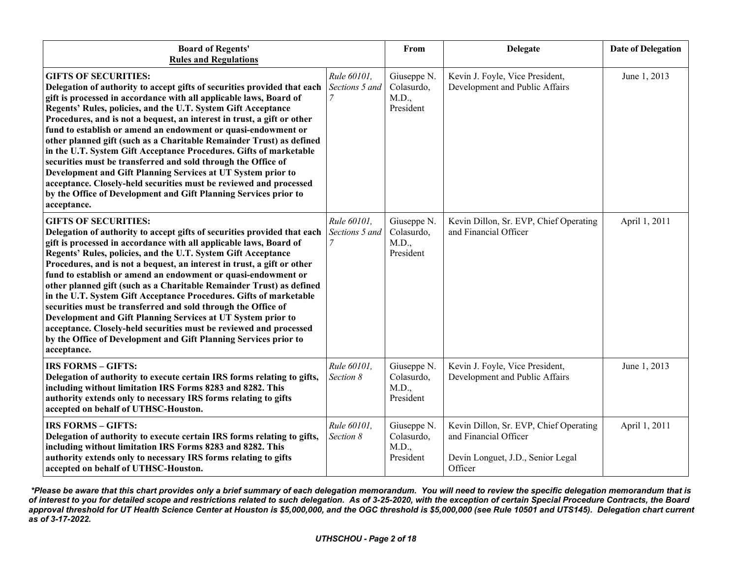| <b>Board of Regents'</b><br><b>Rules and Regulations</b>                                                                                                                                                                                                                                                                                                                                                                                                                                                                                                                                                                                                                                                                                                                                                                           |                               | From                                            | <b>Delegate</b>                                                                                                 | <b>Date of Delegation</b> |
|------------------------------------------------------------------------------------------------------------------------------------------------------------------------------------------------------------------------------------------------------------------------------------------------------------------------------------------------------------------------------------------------------------------------------------------------------------------------------------------------------------------------------------------------------------------------------------------------------------------------------------------------------------------------------------------------------------------------------------------------------------------------------------------------------------------------------------|-------------------------------|-------------------------------------------------|-----------------------------------------------------------------------------------------------------------------|---------------------------|
| <b>GIFTS OF SECURITIES:</b><br>Delegation of authority to accept gifts of securities provided that each<br>gift is processed in accordance with all applicable laws, Board of<br>Regents' Rules, policies, and the U.T. System Gift Acceptance<br>Procedures, and is not a bequest, an interest in trust, a gift or other<br>fund to establish or amend an endowment or quasi-endowment or<br>other planned gift (such as a Charitable Remainder Trust) as defined<br>in the U.T. System Gift Acceptance Procedures. Gifts of marketable<br>securities must be transferred and sold through the Office of<br>Development and Gift Planning Services at UT System prior to<br>acceptance. Closely-held securities must be reviewed and processed<br>by the Office of Development and Gift Planning Services prior to<br>acceptance. | Rule 60101.<br>Sections 5 and | Giuseppe N.<br>Colasurdo,<br>M.D.,<br>President | Kevin J. Foyle, Vice President,<br>Development and Public Affairs                                               | June 1, 2013              |
| <b>GIFTS OF SECURITIES:</b><br>Delegation of authority to accept gifts of securities provided that each<br>gift is processed in accordance with all applicable laws, Board of<br>Regents' Rules, policies, and the U.T. System Gift Acceptance<br>Procedures, and is not a bequest, an interest in trust, a gift or other<br>fund to establish or amend an endowment or quasi-endowment or<br>other planned gift (such as a Charitable Remainder Trust) as defined<br>in the U.T. System Gift Acceptance Procedures. Gifts of marketable<br>securities must be transferred and sold through the Office of<br>Development and Gift Planning Services at UT System prior to<br>acceptance. Closely-held securities must be reviewed and processed<br>by the Office of Development and Gift Planning Services prior to<br>acceptance. | Rule 60101,<br>Sections 5 and | Giuseppe N.<br>Colasurdo,<br>M.D.,<br>President | Kevin Dillon, Sr. EVP, Chief Operating<br>and Financial Officer                                                 | April 1, 2011             |
| <b>IRS FORMS - GIFTS:</b><br>Delegation of authority to execute certain IRS forms relating to gifts,<br>including without limitation IRS Forms 8283 and 8282. This<br>authority extends only to necessary IRS forms relating to gifts<br>accepted on behalf of UTHSC-Houston.                                                                                                                                                                                                                                                                                                                                                                                                                                                                                                                                                      | Rule 60101,<br>Section 8      | Giuseppe N.<br>Colasurdo,<br>M.D.,<br>President | Kevin J. Foyle, Vice President,<br>Development and Public Affairs                                               | June 1, 2013              |
| <b>IRS FORMS - GIFTS:</b><br>Delegation of authority to execute certain IRS forms relating to gifts,<br>including without limitation IRS Forms 8283 and 8282. This<br>authority extends only to necessary IRS forms relating to gifts<br>accepted on behalf of UTHSC-Houston.                                                                                                                                                                                                                                                                                                                                                                                                                                                                                                                                                      | Rule 60101,<br>Section 8      | Giuseppe N.<br>Colasurdo,<br>M.D.,<br>President | Kevin Dillon, Sr. EVP, Chief Operating<br>and Financial Officer<br>Devin Longuet, J.D., Senior Legal<br>Officer | April 1, 2011             |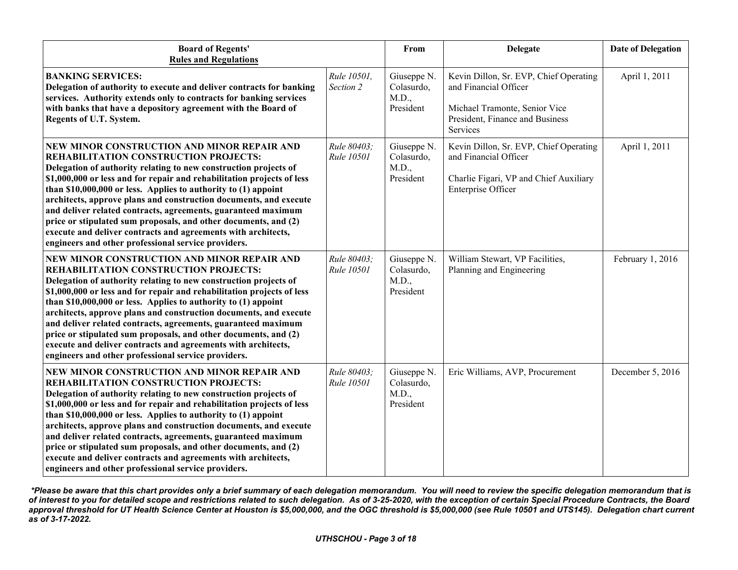| <b>Board of Regents'</b><br><b>Rules and Regulations</b>                                                                                                                                                                                                                                                                                                                                                                                                                                                                                                                                                                                     |                                  | From                                            | <b>Delegate</b>                                                                                                                                 | <b>Date of Delegation</b> |
|----------------------------------------------------------------------------------------------------------------------------------------------------------------------------------------------------------------------------------------------------------------------------------------------------------------------------------------------------------------------------------------------------------------------------------------------------------------------------------------------------------------------------------------------------------------------------------------------------------------------------------------------|----------------------------------|-------------------------------------------------|-------------------------------------------------------------------------------------------------------------------------------------------------|---------------------------|
| <b>BANKING SERVICES:</b><br>Delegation of authority to execute and deliver contracts for banking<br>services. Authority extends only to contracts for banking services<br>with banks that have a depository agreement with the Board of<br>Regents of U.T. System.                                                                                                                                                                                                                                                                                                                                                                           | Rule 10501,<br>Section 2         | Giuseppe N.<br>Colasurdo,<br>M.D.,<br>President | Kevin Dillon, Sr. EVP, Chief Operating<br>and Financial Officer<br>Michael Tramonte, Senior Vice<br>President, Finance and Business<br>Services | April 1, 2011             |
| NEW MINOR CONSTRUCTION AND MINOR REPAIR AND<br>REHABILITATION CONSTRUCTION PROJECTS:<br>Delegation of authority relating to new construction projects of<br>\$1,000,000 or less and for repair and rehabilitation projects of less<br>than $$10,000,000$ or less. Applies to authority to $(1)$ appoint<br>architects, approve plans and construction documents, and execute<br>and deliver related contracts, agreements, guaranteed maximum<br>price or stipulated sum proposals, and other documents, and (2)<br>execute and deliver contracts and agreements with architects,<br>engineers and other professional service providers.     | Rule 80403:<br>Rule 10501        | Giuseppe N.<br>Colasurdo,<br>M.D.,<br>President | Kevin Dillon, Sr. EVP, Chief Operating<br>and Financial Officer<br>Charlie Figari, VP and Chief Auxiliary<br><b>Enterprise Officer</b>          | April 1, 2011             |
| NEW MINOR CONSTRUCTION AND MINOR REPAIR AND<br>REHABILITATION CONSTRUCTION PROJECTS:<br>Delegation of authority relating to new construction projects of<br>\$1,000,000 or less and for repair and rehabilitation projects of less<br>than \$10,000,000 or less. Applies to authority to (1) appoint<br>architects, approve plans and construction documents, and execute<br>and deliver related contracts, agreements, guaranteed maximum<br>price or stipulated sum proposals, and other documents, and (2)<br>execute and deliver contracts and agreements with architects,<br>engineers and other professional service providers.        | Rule 80403;<br><b>Rule 10501</b> | Giuseppe N.<br>Colasurdo,<br>M.D.,<br>President | William Stewart, VP Facilities,<br>Planning and Engineering                                                                                     | February 1, 2016          |
| NEW MINOR CONSTRUCTION AND MINOR REPAIR AND<br><b>REHABILITATION CONSTRUCTION PROJECTS:</b><br>Delegation of authority relating to new construction projects of<br>\$1,000,000 or less and for repair and rehabilitation projects of less<br>than \$10,000,000 or less. Applies to authority to (1) appoint<br>architects, approve plans and construction documents, and execute<br>and deliver related contracts, agreements, guaranteed maximum<br>price or stipulated sum proposals, and other documents, and (2)<br>execute and deliver contracts and agreements with architects,<br>engineers and other professional service providers. | Rule 80403;<br><b>Rule 10501</b> | Giuseppe N.<br>Colasurdo,<br>M.D.,<br>President | Eric Williams, AVP, Procurement                                                                                                                 | December 5, 2016          |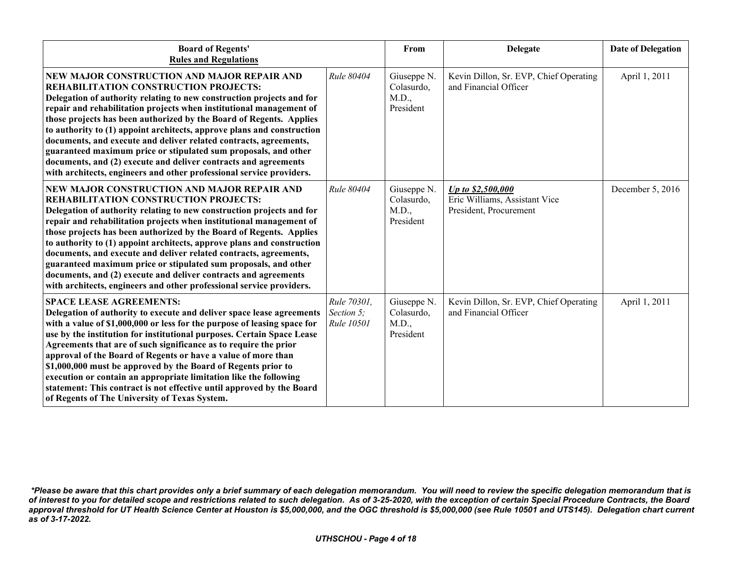| <b>Board of Regents'</b><br><b>Rules and Regulations</b>                                                                                                                                                                                                                                                                                                                                                                                                                                                                                                                                                                                                                        |                                                | From                                            | <b>Delegate</b>                                                              | <b>Date of Delegation</b> |
|---------------------------------------------------------------------------------------------------------------------------------------------------------------------------------------------------------------------------------------------------------------------------------------------------------------------------------------------------------------------------------------------------------------------------------------------------------------------------------------------------------------------------------------------------------------------------------------------------------------------------------------------------------------------------------|------------------------------------------------|-------------------------------------------------|------------------------------------------------------------------------------|---------------------------|
| NEW MAJOR CONSTRUCTION AND MAJOR REPAIR AND<br>REHABILITATION CONSTRUCTION PROJECTS:<br>Delegation of authority relating to new construction projects and for<br>repair and rehabilitation projects when institutional management of<br>those projects has been authorized by the Board of Regents. Applies<br>to authority to (1) appoint architects, approve plans and construction<br>documents, and execute and deliver related contracts, agreements,<br>guaranteed maximum price or stipulated sum proposals, and other<br>documents, and (2) execute and deliver contracts and agreements<br>with architects, engineers and other professional service providers.        | Rule 80404                                     | Giuseppe N.<br>Colasurdo,<br>M.D.,<br>President | Kevin Dillon, Sr. EVP, Chief Operating<br>and Financial Officer              | April 1, 2011             |
| NEW MAJOR CONSTRUCTION AND MAJOR REPAIR AND<br><b>REHABILITATION CONSTRUCTION PROJECTS:</b><br>Delegation of authority relating to new construction projects and for<br>repair and rehabilitation projects when institutional management of<br>those projects has been authorized by the Board of Regents. Applies<br>to authority to (1) appoint architects, approve plans and construction<br>documents, and execute and deliver related contracts, agreements,<br>guaranteed maximum price or stipulated sum proposals, and other<br>documents, and (2) execute and deliver contracts and agreements<br>with architects, engineers and other professional service providers. | Rule 80404                                     | Giuseppe N.<br>Colasurdo,<br>M.D.,<br>President | Up to \$2,500,000<br>Eric Williams, Assistant Vice<br>President, Procurement | December 5, 2016          |
| <b>SPACE LEASE AGREEMENTS:</b><br>Delegation of authority to execute and deliver space lease agreements<br>with a value of \$1,000,000 or less for the purpose of leasing space for<br>use by the institution for institutional purposes. Certain Space Lease<br>Agreements that are of such significance as to require the prior<br>approval of the Board of Regents or have a value of more than<br>\$1,000,000 must be approved by the Board of Regents prior to<br>execution or contain an appropriate limitation like the following<br>statement: This contract is not effective until approved by the Board<br>of Regents of The University of Texas System.              | Rule 70301,<br>Section 5;<br><b>Rule 10501</b> | Giuseppe N.<br>Colasurdo,<br>M.D.,<br>President | Kevin Dillon, Sr. EVP, Chief Operating<br>and Financial Officer              | April 1, 2011             |

*<sup>\*</sup>Please be aware that this chart provides only a brief summary of each delegation memorandum. You will need to review the specific delegation memorandum that is of interest to you for detailed scope and restrictions related to such delegation. As of 3-25-2020, with the exception of certain Special Procedure Contracts, the Board approval threshold for UT Health Science Center at Houston is \$5,000,000, and the OGC threshold is \$5,000,000 (see Rule 10501 and UTS145). Delegation chart current as of 3-17-2022.*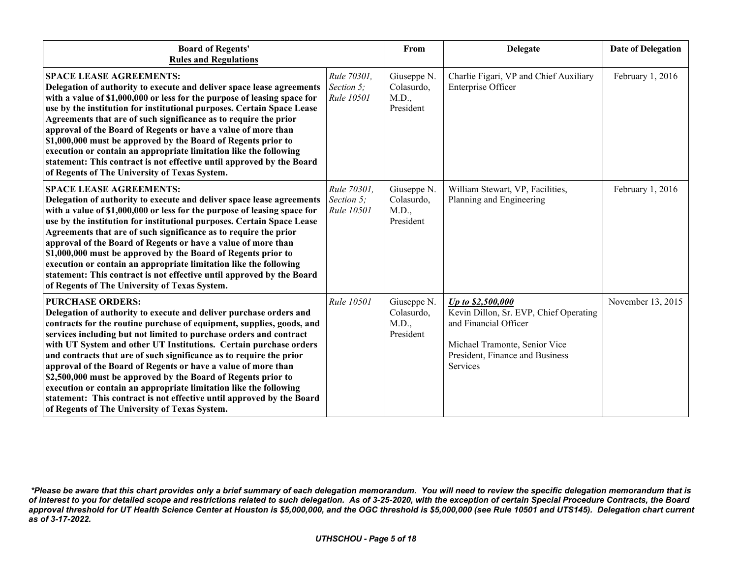| <b>Board of Regents'</b><br><b>Rules and Regulations</b>                                                                                                                                                                                                                                                                                                                                                                                                                                                                                                                                                                                                                                                                  |                                                | From                                            | <b>Delegate</b>                                                                                                                                                      | <b>Date of Delegation</b> |
|---------------------------------------------------------------------------------------------------------------------------------------------------------------------------------------------------------------------------------------------------------------------------------------------------------------------------------------------------------------------------------------------------------------------------------------------------------------------------------------------------------------------------------------------------------------------------------------------------------------------------------------------------------------------------------------------------------------------------|------------------------------------------------|-------------------------------------------------|----------------------------------------------------------------------------------------------------------------------------------------------------------------------|---------------------------|
| <b>SPACE LEASE AGREEMENTS:</b><br>Delegation of authority to execute and deliver space lease agreements<br>with a value of \$1,000,000 or less for the purpose of leasing space for<br>use by the institution for institutional purposes. Certain Space Lease<br>Agreements that are of such significance as to require the prior<br>approval of the Board of Regents or have a value of more than<br>\$1,000,000 must be approved by the Board of Regents prior to<br>execution or contain an appropriate limitation like the following<br>statement: This contract is not effective until approved by the Board<br>of Regents of The University of Texas System.                                                        | Rule 70301,<br>Section 5;<br><b>Rule 10501</b> | Giuseppe N.<br>Colasurdo,<br>M.D.,<br>President | Charlie Figari, VP and Chief Auxiliary<br>Enterprise Officer                                                                                                         | February 1, 2016          |
| <b>SPACE LEASE AGREEMENTS:</b><br>Delegation of authority to execute and deliver space lease agreements<br>with a value of \$1,000,000 or less for the purpose of leasing space for<br>use by the institution for institutional purposes. Certain Space Lease<br>Agreements that are of such significance as to require the prior<br>approval of the Board of Regents or have a value of more than<br>\$1,000,000 must be approved by the Board of Regents prior to<br>execution or contain an appropriate limitation like the following<br>statement: This contract is not effective until approved by the Board<br>of Regents of The University of Texas System.                                                        | Rule 70301,<br>Section 5;<br>Rule 10501        | Giuseppe N.<br>Colasurdo,<br>M.D.,<br>President | William Stewart, VP, Facilities,<br>Planning and Engineering                                                                                                         | February 1, 2016          |
| <b>PURCHASE ORDERS:</b><br>Delegation of authority to execute and deliver purchase orders and<br>contracts for the routine purchase of equipment, supplies, goods, and<br>services including but not limited to purchase orders and contract<br>with UT System and other UT Institutions. Certain purchase orders<br>and contracts that are of such significance as to require the prior<br>approval of the Board of Regents or have a value of more than<br>\$2,500,000 must be approved by the Board of Regents prior to<br>execution or contain an appropriate limitation like the following<br>statement: This contract is not effective until approved by the Board<br>of Regents of The University of Texas System. | Rule 10501                                     | Giuseppe N.<br>Colasurdo,<br>M.D.,<br>President | Up to \$2,500,000<br>Kevin Dillon, Sr. EVP, Chief Operating<br>and Financial Officer<br>Michael Tramonte, Senior Vice<br>President, Finance and Business<br>Services | November 13, 2015         |

*<sup>\*</sup>Please be aware that this chart provides only a brief summary of each delegation memorandum. You will need to review the specific delegation memorandum that is of interest to you for detailed scope and restrictions related to such delegation. As of 3-25-2020, with the exception of certain Special Procedure Contracts, the Board approval threshold for UT Health Science Center at Houston is \$5,000,000, and the OGC threshold is \$5,000,000 (see Rule 10501 and UTS145). Delegation chart current as of 3-17-2022.*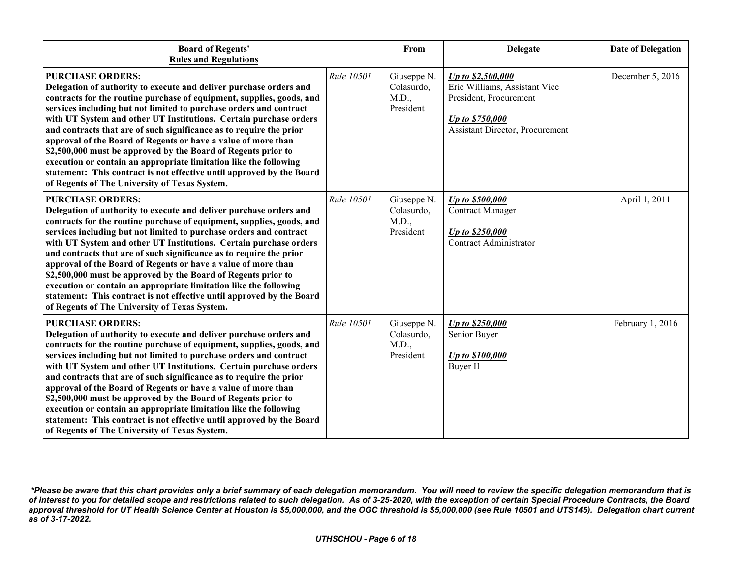| <b>Board of Regents'</b><br><b>Rules and Regulations</b>                                                                                                                                                                                                                                                                                                                                                                                                                                                                                                                                                                                                                                                                  |            | From                                            | <b>Delegate</b>                                                                                                                            | <b>Date of Delegation</b> |
|---------------------------------------------------------------------------------------------------------------------------------------------------------------------------------------------------------------------------------------------------------------------------------------------------------------------------------------------------------------------------------------------------------------------------------------------------------------------------------------------------------------------------------------------------------------------------------------------------------------------------------------------------------------------------------------------------------------------------|------------|-------------------------------------------------|--------------------------------------------------------------------------------------------------------------------------------------------|---------------------------|
| <b>PURCHASE ORDERS:</b><br>Delegation of authority to execute and deliver purchase orders and<br>contracts for the routine purchase of equipment, supplies, goods, and<br>services including but not limited to purchase orders and contract<br>with UT System and other UT Institutions. Certain purchase orders<br>and contracts that are of such significance as to require the prior<br>approval of the Board of Regents or have a value of more than<br>\$2,500,000 must be approved by the Board of Regents prior to<br>execution or contain an appropriate limitation like the following<br>statement: This contract is not effective until approved by the Board<br>of Regents of The University of Texas System. | Rule 10501 | Giuseppe N.<br>Colasurdo,<br>M.D.,<br>President | Up to \$2,500,000<br>Eric Williams, Assistant Vice<br>President, Procurement<br>Up to \$750,000<br><b>Assistant Director</b> , Procurement | December 5, 2016          |
| <b>PURCHASE ORDERS:</b><br>Delegation of authority to execute and deliver purchase orders and<br>contracts for the routine purchase of equipment, supplies, goods, and<br>services including but not limited to purchase orders and contract<br>with UT System and other UT Institutions. Certain purchase orders<br>and contracts that are of such significance as to require the prior<br>approval of the Board of Regents or have a value of more than<br>\$2,500,000 must be approved by the Board of Regents prior to<br>execution or contain an appropriate limitation like the following<br>statement: This contract is not effective until approved by the Board<br>of Regents of The University of Texas System. | Rule 10501 | Giuseppe N.<br>Colasurdo,<br>M.D.,<br>President | Up to \$500,000<br><b>Contract Manager</b><br>Up to \$250,000<br>Contract Administrator                                                    | April 1, 2011             |
| <b>PURCHASE ORDERS:</b><br>Delegation of authority to execute and deliver purchase orders and<br>contracts for the routine purchase of equipment, supplies, goods, and<br>services including but not limited to purchase orders and contract<br>with UT System and other UT Institutions. Certain purchase orders<br>and contracts that are of such significance as to require the prior<br>approval of the Board of Regents or have a value of more than<br>\$2,500,000 must be approved by the Board of Regents prior to<br>execution or contain an appropriate limitation like the following<br>statement: This contract is not effective until approved by the Board<br>of Regents of The University of Texas System. | Rule 10501 | Giuseppe N.<br>Colasurdo,<br>M.D.,<br>President | Up to \$250,000<br>Senior Buyer<br>Up to \$100,000<br>Buyer II                                                                             | February 1, 2016          |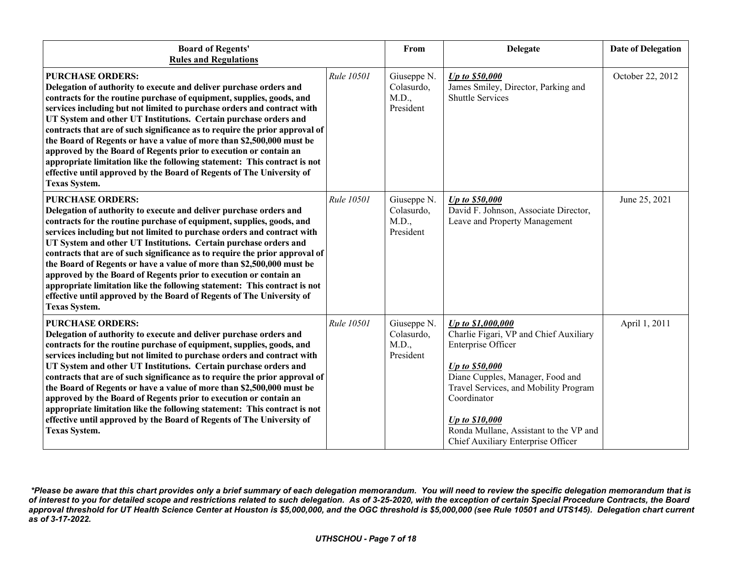| <b>Board of Regents'</b><br><b>Rules and Regulations</b>                                                                                                                                                                                                                                                                                                                                                                                                                                                                                                                                                                                                                                                                         |            | From                                            | Delegate                                                                                                                                                                                                                                                                                          | <b>Date of Delegation</b> |
|----------------------------------------------------------------------------------------------------------------------------------------------------------------------------------------------------------------------------------------------------------------------------------------------------------------------------------------------------------------------------------------------------------------------------------------------------------------------------------------------------------------------------------------------------------------------------------------------------------------------------------------------------------------------------------------------------------------------------------|------------|-------------------------------------------------|---------------------------------------------------------------------------------------------------------------------------------------------------------------------------------------------------------------------------------------------------------------------------------------------------|---------------------------|
| <b>PURCHASE ORDERS:</b><br>Delegation of authority to execute and deliver purchase orders and<br>contracts for the routine purchase of equipment, supplies, goods, and<br>services including but not limited to purchase orders and contract with<br>UT System and other UT Institutions. Certain purchase orders and<br>contracts that are of such significance as to require the prior approval of<br>the Board of Regents or have a value of more than \$2,500,000 must be<br>approved by the Board of Regents prior to execution or contain an<br>appropriate limitation like the following statement: This contract is not<br>effective until approved by the Board of Regents of The University of<br><b>Texas System.</b> | Rule 10501 | Giuseppe N.<br>Colasurdo,<br>M.D.,<br>President | Up to \$50,000<br>James Smiley, Director, Parking and<br><b>Shuttle Services</b>                                                                                                                                                                                                                  | October 22, 2012          |
| <b>PURCHASE ORDERS:</b><br>Delegation of authority to execute and deliver purchase orders and<br>contracts for the routine purchase of equipment, supplies, goods, and<br>services including but not limited to purchase orders and contract with<br>UT System and other UT Institutions. Certain purchase orders and<br>contracts that are of such significance as to require the prior approval of<br>the Board of Regents or have a value of more than \$2,500,000 must be<br>approved by the Board of Regents prior to execution or contain an<br>appropriate limitation like the following statement: This contract is not<br>effective until approved by the Board of Regents of The University of<br><b>Texas System.</b> | Rule 10501 | Giuseppe N.<br>Colasurdo,<br>M.D.,<br>President | Up to \$50,000<br>David F. Johnson, Associate Director,<br>Leave and Property Management                                                                                                                                                                                                          | June 25, 2021             |
| <b>PURCHASE ORDERS:</b><br>Delegation of authority to execute and deliver purchase orders and<br>contracts for the routine purchase of equipment, supplies, goods, and<br>services including but not limited to purchase orders and contract with<br>UT System and other UT Institutions. Certain purchase orders and<br>contracts that are of such significance as to require the prior approval of<br>the Board of Regents or have a value of more than \$2,500,000 must be<br>approved by the Board of Regents prior to execution or contain an<br>appropriate limitation like the following statement: This contract is not<br>effective until approved by the Board of Regents of The University of<br><b>Texas System.</b> | Rule 10501 | Giuseppe N.<br>Colasurdo,<br>M.D.,<br>President | Up to \$1,000,000<br>Charlie Figari, VP and Chief Auxiliary<br>Enterprise Officer<br>Up to \$50,000<br>Diane Cupples, Manager, Food and<br>Travel Services, and Mobility Program<br>Coordinator<br>Up to \$10,000<br>Ronda Mullane, Assistant to the VP and<br>Chief Auxiliary Enterprise Officer | April 1, 2011             |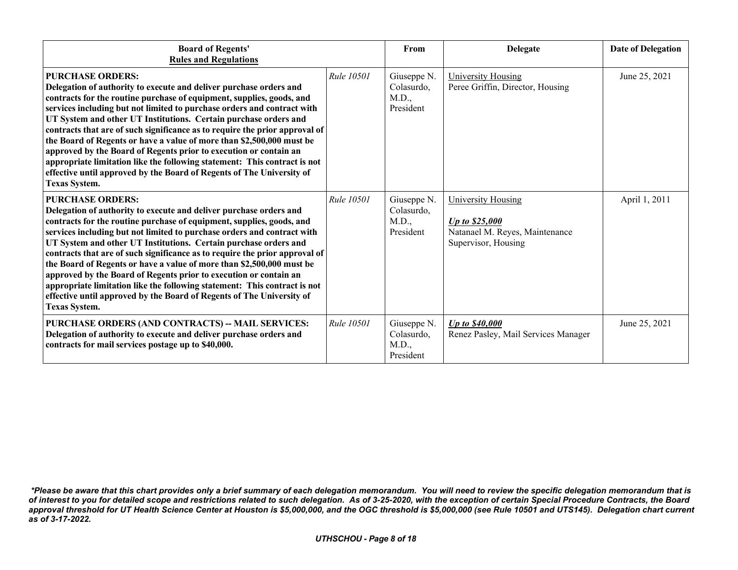| <b>Board of Regents'</b><br><b>Rules and Regulations</b>                                                                                                                                                                                                                                                                                                                                                                                                                                                                                                                                                                                                                                                                         |                   | From                                            | <b>Delegate</b>                                                                                      | <b>Date of Delegation</b> |
|----------------------------------------------------------------------------------------------------------------------------------------------------------------------------------------------------------------------------------------------------------------------------------------------------------------------------------------------------------------------------------------------------------------------------------------------------------------------------------------------------------------------------------------------------------------------------------------------------------------------------------------------------------------------------------------------------------------------------------|-------------------|-------------------------------------------------|------------------------------------------------------------------------------------------------------|---------------------------|
| <b>PURCHASE ORDERS:</b><br>Delegation of authority to execute and deliver purchase orders and<br>contracts for the routine purchase of equipment, supplies, goods, and<br>services including but not limited to purchase orders and contract with<br>UT System and other UT Institutions. Certain purchase orders and<br>contracts that are of such significance as to require the prior approval of<br>the Board of Regents or have a value of more than \$2,500,000 must be<br>approved by the Board of Regents prior to execution or contain an<br>appropriate limitation like the following statement: This contract is not<br>effective until approved by the Board of Regents of The University of<br><b>Texas System.</b> | <b>Rule 10501</b> | Giuseppe N.<br>Colasurdo,<br>M.D.,<br>President | <b>University Housing</b><br>Peree Griffin, Director, Housing                                        | June 25, 2021             |
| <b>PURCHASE ORDERS:</b><br>Delegation of authority to execute and deliver purchase orders and<br>contracts for the routine purchase of equipment, supplies, goods, and<br>services including but not limited to purchase orders and contract with<br>UT System and other UT Institutions. Certain purchase orders and<br>contracts that are of such significance as to require the prior approval of<br>the Board of Regents or have a value of more than \$2,500,000 must be<br>approved by the Board of Regents prior to execution or contain an<br>appropriate limitation like the following statement: This contract is not<br>effective until approved by the Board of Regents of The University of<br><b>Texas System.</b> | <i>Rule</i> 10501 | Giuseppe N.<br>Colasurdo,<br>M.D.,<br>President | <b>University Housing</b><br>Up to \$25,000<br>Natanael M. Reyes, Maintenance<br>Supervisor, Housing | April 1, 2011             |
| PURCHASE ORDERS (AND CONTRACTS) -- MAIL SERVICES:<br>Delegation of authority to execute and deliver purchase orders and<br>contracts for mail services postage up to \$40,000.                                                                                                                                                                                                                                                                                                                                                                                                                                                                                                                                                   | <b>Rule 10501</b> | Giuseppe N.<br>Colasurdo,<br>M.D.,<br>President | Up to \$40,000<br>Renez Pasley, Mail Services Manager                                                | June 25, 2021             |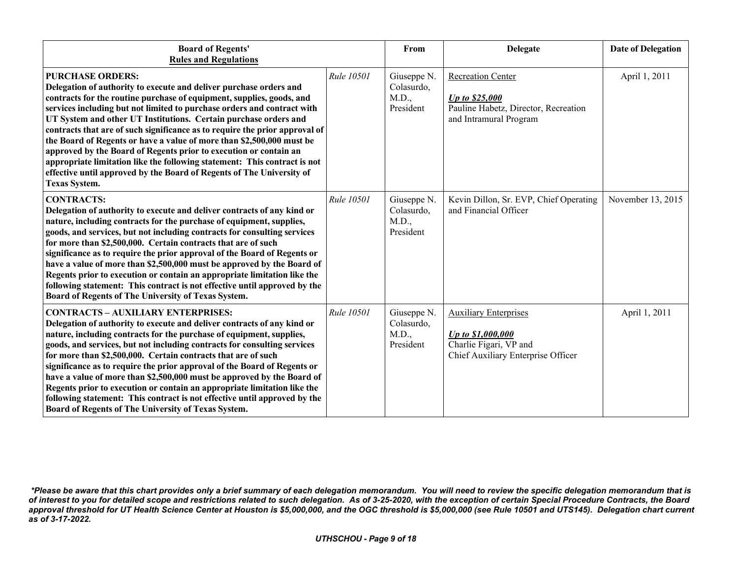| <b>Board of Regents'</b><br><b>Rules and Regulations</b>                                                                                                                                                                                                                                                                                                                                                                                                                                                                                                                                                                                                                                                                         |            | From                                            | <b>Delegate</b>                                                                                                   | <b>Date of Delegation</b> |
|----------------------------------------------------------------------------------------------------------------------------------------------------------------------------------------------------------------------------------------------------------------------------------------------------------------------------------------------------------------------------------------------------------------------------------------------------------------------------------------------------------------------------------------------------------------------------------------------------------------------------------------------------------------------------------------------------------------------------------|------------|-------------------------------------------------|-------------------------------------------------------------------------------------------------------------------|---------------------------|
| <b>PURCHASE ORDERS:</b><br>Delegation of authority to execute and deliver purchase orders and<br>contracts for the routine purchase of equipment, supplies, goods, and<br>services including but not limited to purchase orders and contract with<br>UT System and other UT Institutions. Certain purchase orders and<br>contracts that are of such significance as to require the prior approval of<br>the Board of Regents or have a value of more than \$2,500,000 must be<br>approved by the Board of Regents prior to execution or contain an<br>appropriate limitation like the following statement: This contract is not<br>effective until approved by the Board of Regents of The University of<br><b>Texas System.</b> | Rule 10501 | Giuseppe N.<br>Colasurdo,<br>M.D.,<br>President | <b>Recreation Center</b><br>Up to \$25,000<br>Pauline Habetz, Director, Recreation<br>and Intramural Program      | April 1, 2011             |
| <b>CONTRACTS:</b><br>Delegation of authority to execute and deliver contracts of any kind or<br>nature, including contracts for the purchase of equipment, supplies,<br>goods, and services, but not including contracts for consulting services<br>for more than \$2,500,000. Certain contracts that are of such<br>significance as to require the prior approval of the Board of Regents or<br>have a value of more than \$2,500,000 must be approved by the Board of<br>Regents prior to execution or contain an appropriate limitation like the<br>following statement: This contract is not effective until approved by the<br>Board of Regents of The University of Texas System.                                          | Rule 10501 | Giuseppe N.<br>Colasurdo,<br>M.D.,<br>President | Kevin Dillon, Sr. EVP, Chief Operating<br>and Financial Officer                                                   | November 13, 2015         |
| <b>CONTRACTS - AUXILIARY ENTERPRISES:</b><br>Delegation of authority to execute and deliver contracts of any kind or<br>nature, including contracts for the purchase of equipment, supplies,<br>goods, and services, but not including contracts for consulting services<br>for more than \$2,500,000. Certain contracts that are of such<br>significance as to require the prior approval of the Board of Regents or<br>have a value of more than \$2,500,000 must be approved by the Board of<br>Regents prior to execution or contain an appropriate limitation like the<br>following statement: This contract is not effective until approved by the<br>Board of Regents of The University of Texas System.                  | Rule 10501 | Giuseppe N.<br>Colasurdo,<br>M.D.,<br>President | <b>Auxiliary Enterprises</b><br>Up to \$1,000,000<br>Charlie Figari, VP and<br>Chief Auxiliary Enterprise Officer | April 1, 2011             |

*<sup>\*</sup>Please be aware that this chart provides only a brief summary of each delegation memorandum. You will need to review the specific delegation memorandum that is of interest to you for detailed scope and restrictions related to such delegation. As of 3-25-2020, with the exception of certain Special Procedure Contracts, the Board approval threshold for UT Health Science Center at Houston is \$5,000,000, and the OGC threshold is \$5,000,000 (see Rule 10501 and UTS145). Delegation chart current as of 3-17-2022.*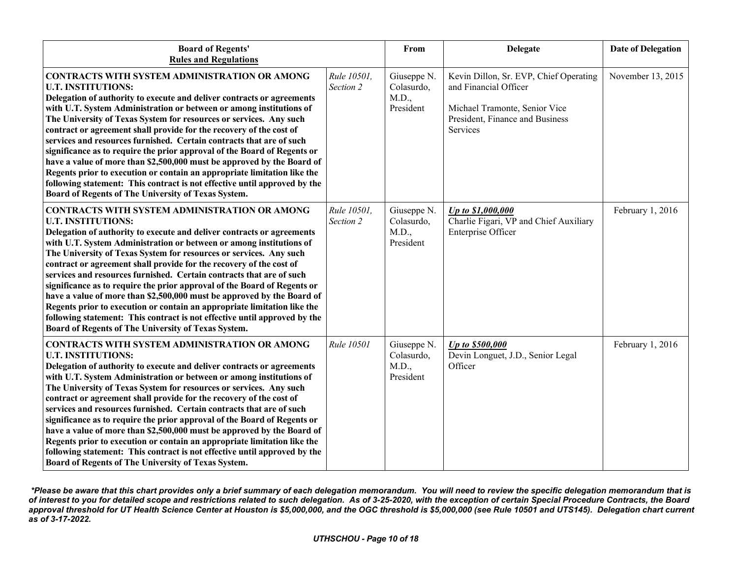| <b>Board of Regents'</b><br><b>Rules and Regulations</b>                                                                                                                                                                                                                                                                                                                                                                                                                                                                                                                                                                                                                                                                                                                                                                      |                          | From                                            | Delegate                                                                                                                                               | <b>Date of Delegation</b> |
|-------------------------------------------------------------------------------------------------------------------------------------------------------------------------------------------------------------------------------------------------------------------------------------------------------------------------------------------------------------------------------------------------------------------------------------------------------------------------------------------------------------------------------------------------------------------------------------------------------------------------------------------------------------------------------------------------------------------------------------------------------------------------------------------------------------------------------|--------------------------|-------------------------------------------------|--------------------------------------------------------------------------------------------------------------------------------------------------------|---------------------------|
| <b>CONTRACTS WITH SYSTEM ADMINISTRATION OR AMONG</b><br><b>U.T. INSTITUTIONS:</b><br>Delegation of authority to execute and deliver contracts or agreements<br>with U.T. System Administration or between or among institutions of<br>The University of Texas System for resources or services. Any such<br>contract or agreement shall provide for the recovery of the cost of<br>services and resources furnished. Certain contracts that are of such<br>significance as to require the prior approval of the Board of Regents or<br>have a value of more than \$2,500,000 must be approved by the Board of<br>Regents prior to execution or contain an appropriate limitation like the<br>following statement: This contract is not effective until approved by the<br>Board of Regents of The University of Texas System. | Rule 10501,<br>Section 2 | Giuseppe N.<br>Colasurdo,<br>M.D.,<br>President | Kevin Dillon, Sr. EVP, Chief Operating<br>and Financial Officer<br>Michael Tramonte, Senior Vice<br>President, Finance and Business<br><b>Services</b> | November 13, 2015         |
| CONTRACTS WITH SYSTEM ADMINISTRATION OR AMONG<br><b>U.T. INSTITUTIONS:</b><br>Delegation of authority to execute and deliver contracts or agreements<br>with U.T. System Administration or between or among institutions of<br>The University of Texas System for resources or services. Any such<br>contract or agreement shall provide for the recovery of the cost of<br>services and resources furnished. Certain contracts that are of such<br>significance as to require the prior approval of the Board of Regents or<br>have a value of more than \$2,500,000 must be approved by the Board of<br>Regents prior to execution or contain an appropriate limitation like the<br>following statement: This contract is not effective until approved by the<br>Board of Regents of The University of Texas System.        | Rule 10501,<br>Section 2 | Giuseppe N.<br>Colasurdo,<br>M.D.,<br>President | Up to \$1,000,000<br>Charlie Figari, VP and Chief Auxiliary<br>Enterprise Officer                                                                      | February 1, 2016          |
| CONTRACTS WITH SYSTEM ADMINISTRATION OR AMONG<br><b>U.T. INSTITUTIONS:</b><br>Delegation of authority to execute and deliver contracts or agreements<br>with U.T. System Administration or between or among institutions of<br>The University of Texas System for resources or services. Any such<br>contract or agreement shall provide for the recovery of the cost of<br>services and resources furnished. Certain contracts that are of such<br>significance as to require the prior approval of the Board of Regents or<br>have a value of more than \$2,500,000 must be approved by the Board of<br>Regents prior to execution or contain an appropriate limitation like the<br>following statement: This contract is not effective until approved by the<br>Board of Regents of The University of Texas System.        | Rule 10501               | Giuseppe N.<br>Colasurdo,<br>M.D.,<br>President | Up to \$500,000<br>Devin Longuet, J.D., Senior Legal<br>Officer                                                                                        | February 1, 2016          |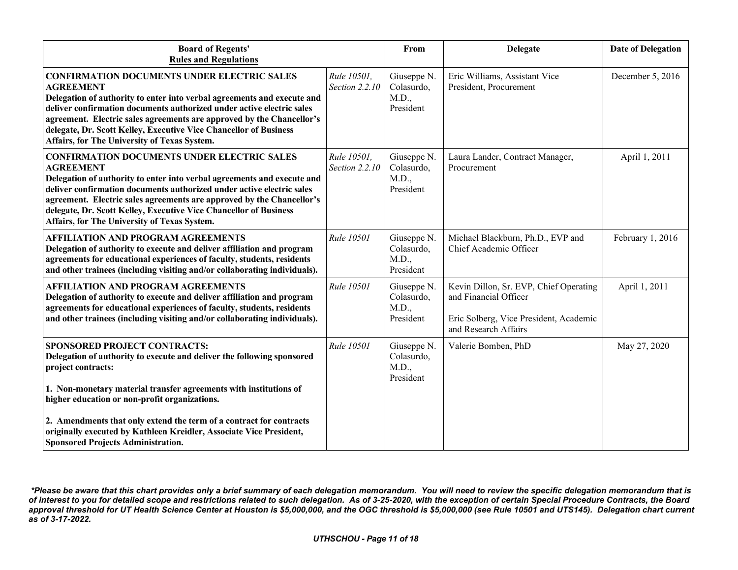| <b>Board of Regents'</b><br><b>Rules and Regulations</b>                                                                                                                                                                                                                                                                                                                                                                 |                               | From                                            | <b>Delegate</b>                                                                                                                   | <b>Date of Delegation</b> |
|--------------------------------------------------------------------------------------------------------------------------------------------------------------------------------------------------------------------------------------------------------------------------------------------------------------------------------------------------------------------------------------------------------------------------|-------------------------------|-------------------------------------------------|-----------------------------------------------------------------------------------------------------------------------------------|---------------------------|
| <b>CONFIRMATION DOCUMENTS UNDER ELECTRIC SALES</b><br><b>AGREEMENT</b><br>Delegation of authority to enter into verbal agreements and execute and<br>deliver confirmation documents authorized under active electric sales<br>agreement. Electric sales agreements are approved by the Chancellor's<br>delegate, Dr. Scott Kelley, Executive Vice Chancellor of Business<br>Affairs, for The University of Texas System. | Rule 10501,<br>Section 2.2.10 | Giuseppe N.<br>Colasurdo,<br>M.D.,<br>President | Eric Williams, Assistant Vice<br>President, Procurement                                                                           | December 5, 2016          |
| <b>CONFIRMATION DOCUMENTS UNDER ELECTRIC SALES</b><br><b>AGREEMENT</b><br>Delegation of authority to enter into verbal agreements and execute and<br>deliver confirmation documents authorized under active electric sales<br>agreement. Electric sales agreements are approved by the Chancellor's<br>delegate, Dr. Scott Kelley, Executive Vice Chancellor of Business<br>Affairs, for The University of Texas System. | Rule 10501,<br>Section 2.2.10 | Giuseppe N.<br>Colasurdo,<br>M.D.,<br>President | Laura Lander, Contract Manager,<br>Procurement                                                                                    | April 1, 2011             |
| <b>AFFILIATION AND PROGRAM AGREEMENTS</b><br>Delegation of authority to execute and deliver affiliation and program<br>agreements for educational experiences of faculty, students, residents<br>and other trainees (including visiting and/or collaborating individuals).                                                                                                                                               | Rule 10501                    | Giuseppe N.<br>Colasurdo,<br>M.D.,<br>President | Michael Blackburn, Ph.D., EVP and<br>Chief Academic Officer                                                                       | February 1, 2016          |
| <b>AFFILIATION AND PROGRAM AGREEMENTS</b><br>Delegation of authority to execute and deliver affiliation and program<br>agreements for educational experiences of faculty, students, residents<br>and other trainees (including visiting and/or collaborating individuals).                                                                                                                                               | <b>Rule 10501</b>             | Giuseppe N.<br>Colasurdo,<br>M.D.,<br>President | Kevin Dillon, Sr. EVP, Chief Operating<br>and Financial Officer<br>Eric Solberg, Vice President, Academic<br>and Research Affairs | April 1, 2011             |
| <b>SPONSORED PROJECT CONTRACTS:</b><br>Delegation of authority to execute and deliver the following sponsored<br>project contracts:<br>1. Non-monetary material transfer agreements with institutions of<br>higher education or non-profit organizations.                                                                                                                                                                | Rule 10501                    | Giuseppe N.<br>Colasurdo,<br>M.D.,<br>President | Valerie Bomben, PhD                                                                                                               | May 27, 2020              |
| 2. Amendments that only extend the term of a contract for contracts<br>originally executed by Kathleen Kreidler, Associate Vice President,<br><b>Sponsored Projects Administration.</b>                                                                                                                                                                                                                                  |                               |                                                 |                                                                                                                                   |                           |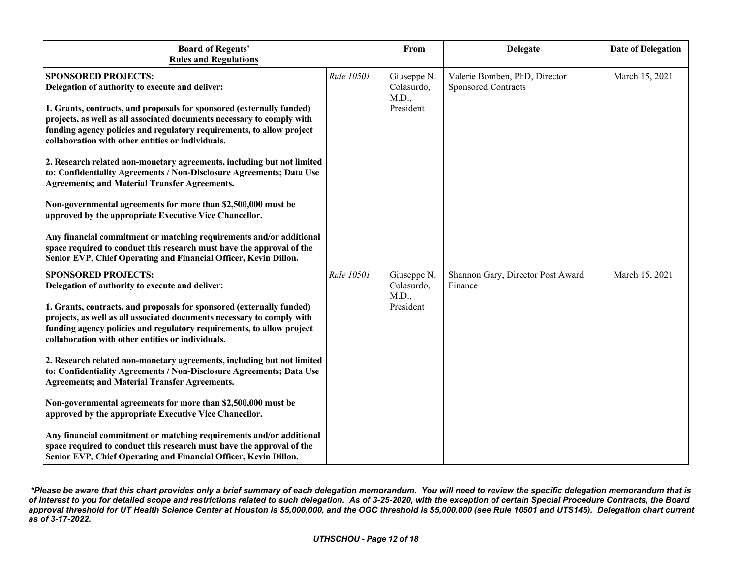| <b>Board of Regents'</b><br><b>Rules and Regulations</b>                                                                                                                                                                                                                      |            | From                               | <b>Delegate</b>                                      | <b>Date of Delegation</b> |
|-------------------------------------------------------------------------------------------------------------------------------------------------------------------------------------------------------------------------------------------------------------------------------|------------|------------------------------------|------------------------------------------------------|---------------------------|
| <b>SPONSORED PROJECTS:</b><br>Delegation of authority to execute and deliver:                                                                                                                                                                                                 | Rule 10501 | Giuseppe N.<br>Colasurdo,<br>M.D., | Valerie Bomben, PhD, Director<br>Sponsored Contracts | March 15, 2021            |
| 1. Grants, contracts, and proposals for sponsored (externally funded)<br>projects, as well as all associated documents necessary to comply with<br>funding agency policies and regulatory requirements, to allow project<br>collaboration with other entities or individuals. |            | President                          |                                                      |                           |
| 2. Research related non-monetary agreements, including but not limited<br>to: Confidentiality Agreements / Non-Disclosure Agreements; Data Use<br><b>Agreements; and Material Transfer Agreements.</b>                                                                        |            |                                    |                                                      |                           |
| Non-governmental agreements for more than \$2,500,000 must be<br>approved by the appropriate Executive Vice Chancellor.                                                                                                                                                       |            |                                    |                                                      |                           |
| Any financial commitment or matching requirements and/or additional<br>space required to conduct this research must have the approval of the<br>Senior EVP, Chief Operating and Financial Officer, Kevin Dillon.                                                              |            |                                    |                                                      |                           |
| <b>SPONSORED PROJECTS:</b><br>Delegation of authority to execute and deliver:                                                                                                                                                                                                 | Rule 10501 | Giuseppe N.<br>Colasurdo,<br>M.D., | Shannon Gary, Director Post Award<br>Finance         | March 15, 2021            |
| 1. Grants, contracts, and proposals for sponsored (externally funded)<br>projects, as well as all associated documents necessary to comply with<br>funding agency policies and regulatory requirements, to allow project<br>collaboration with other entities or individuals. |            | President                          |                                                      |                           |
| 2. Research related non-monetary agreements, including but not limited<br>to: Confidentiality Agreements / Non-Disclosure Agreements; Data Use<br><b>Agreements; and Material Transfer Agreements.</b>                                                                        |            |                                    |                                                      |                           |
| Non-governmental agreements for more than \$2,500,000 must be<br>approved by the appropriate Executive Vice Chancellor.                                                                                                                                                       |            |                                    |                                                      |                           |
| Any financial commitment or matching requirements and/or additional<br>space required to conduct this research must have the approval of the<br>Senior EVP, Chief Operating and Financial Officer, Kevin Dillon.                                                              |            |                                    |                                                      |                           |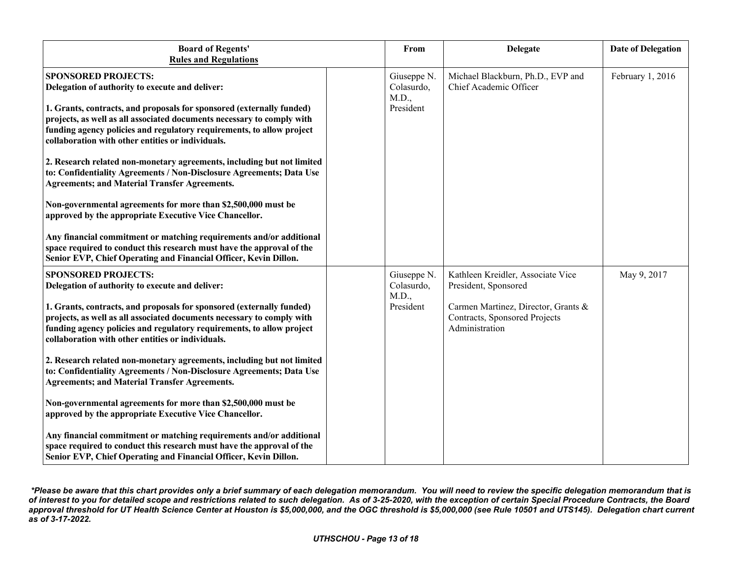| <b>Board of Regents'</b><br><b>Rules and Regulations</b>                                                                                                                                                                                                                      | From                               | <b>Delegate</b>                                                                        | <b>Date of Delegation</b> |
|-------------------------------------------------------------------------------------------------------------------------------------------------------------------------------------------------------------------------------------------------------------------------------|------------------------------------|----------------------------------------------------------------------------------------|---------------------------|
| <b>SPONSORED PROJECTS:</b><br>Delegation of authority to execute and deliver:                                                                                                                                                                                                 | Giuseppe N.<br>Colasurdo,<br>M.D., | Michael Blackburn, Ph.D., EVP and<br>Chief Academic Officer                            | February 1, 2016          |
| 1. Grants, contracts, and proposals for sponsored (externally funded)<br>projects, as well as all associated documents necessary to comply with<br>funding agency policies and regulatory requirements, to allow project<br>collaboration with other entities or individuals. | President                          |                                                                                        |                           |
| 2. Research related non-monetary agreements, including but not limited<br>to: Confidentiality Agreements / Non-Disclosure Agreements; Data Use<br><b>Agreements; and Material Transfer Agreements.</b>                                                                        |                                    |                                                                                        |                           |
| Non-governmental agreements for more than \$2,500,000 must be<br>approved by the appropriate Executive Vice Chancellor.                                                                                                                                                       |                                    |                                                                                        |                           |
| Any financial commitment or matching requirements and/or additional<br>space required to conduct this research must have the approval of the<br>Senior EVP, Chief Operating and Financial Officer, Kevin Dillon.                                                              |                                    |                                                                                        |                           |
| <b>SPONSORED PROJECTS:</b><br>Delegation of authority to execute and deliver:                                                                                                                                                                                                 | Giuseppe N.<br>Colasurdo,<br>M.D., | Kathleen Kreidler, Associate Vice<br>President, Sponsored                              | May 9, 2017               |
| 1. Grants, contracts, and proposals for sponsored (externally funded)<br>projects, as well as all associated documents necessary to comply with<br>funding agency policies and regulatory requirements, to allow project<br>collaboration with other entities or individuals. | President                          | Carmen Martinez, Director, Grants &<br>Contracts, Sponsored Projects<br>Administration |                           |
| 2. Research related non-monetary agreements, including but not limited<br>to: Confidentiality Agreements / Non-Disclosure Agreements; Data Use<br><b>Agreements; and Material Transfer Agreements.</b>                                                                        |                                    |                                                                                        |                           |
| Non-governmental agreements for more than \$2,500,000 must be<br>approved by the appropriate Executive Vice Chancellor.                                                                                                                                                       |                                    |                                                                                        |                           |
| Any financial commitment or matching requirements and/or additional<br>space required to conduct this research must have the approval of the<br>Senior EVP, Chief Operating and Financial Officer, Kevin Dillon.                                                              |                                    |                                                                                        |                           |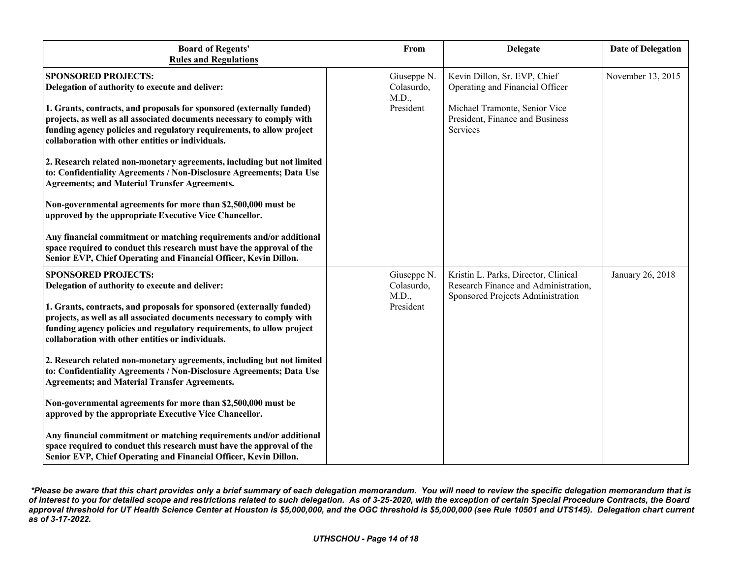| <b>Board of Regents'</b><br><b>Rules and Regulations</b>                                                                                                                                                                                                                                                                                                                                                                                                                                                         | From                                            | <b>Delegate</b>                                                                                                                                 | <b>Date of Delegation</b> |
|------------------------------------------------------------------------------------------------------------------------------------------------------------------------------------------------------------------------------------------------------------------------------------------------------------------------------------------------------------------------------------------------------------------------------------------------------------------------------------------------------------------|-------------------------------------------------|-------------------------------------------------------------------------------------------------------------------------------------------------|---------------------------|
| <b>SPONSORED PROJECTS:</b><br>Delegation of authority to execute and deliver:<br>1. Grants, contracts, and proposals for sponsored (externally funded)<br>projects, as well as all associated documents necessary to comply with<br>funding agency policies and regulatory requirements, to allow project<br>collaboration with other entities or individuals.<br>2. Research related non-monetary agreements, including but not limited<br>to: Confidentiality Agreements / Non-Disclosure Agreements; Data Use | Giuseppe N.<br>Colasurdo,<br>M.D.,<br>President | Kevin Dillon, Sr. EVP, Chief<br>Operating and Financial Officer<br>Michael Tramonte, Senior Vice<br>President, Finance and Business<br>Services | November 13, 2015         |
| <b>Agreements; and Material Transfer Agreements.</b><br>Non-governmental agreements for more than \$2,500,000 must be<br>approved by the appropriate Executive Vice Chancellor.<br>Any financial commitment or matching requirements and/or additional<br>space required to conduct this research must have the approval of the<br>Senior EVP, Chief Operating and Financial Officer, Kevin Dillon.                                                                                                              |                                                 |                                                                                                                                                 |                           |
| <b>SPONSORED PROJECTS:</b><br>Delegation of authority to execute and deliver:<br>1. Grants, contracts, and proposals for sponsored (externally funded)<br>projects, as well as all associated documents necessary to comply with<br>funding agency policies and regulatory requirements, to allow project<br>collaboration with other entities or individuals.<br>2. Research related non-monetary agreements, including but not limited                                                                         | Giuseppe N.<br>Colasurdo,<br>M.D.,<br>President | Kristin L. Parks, Director, Clinical<br>Research Finance and Administration,<br>Sponsored Projects Administration                               | January 26, 2018          |
| to: Confidentiality Agreements / Non-Disclosure Agreements; Data Use<br><b>Agreements; and Material Transfer Agreements.</b><br>Non-governmental agreements for more than \$2,500,000 must be<br>approved by the appropriate Executive Vice Chancellor.<br>Any financial commitment or matching requirements and/or additional<br>space required to conduct this research must have the approval of the<br>Senior EVP, Chief Operating and Financial Officer, Kevin Dillon.                                      |                                                 |                                                                                                                                                 |                           |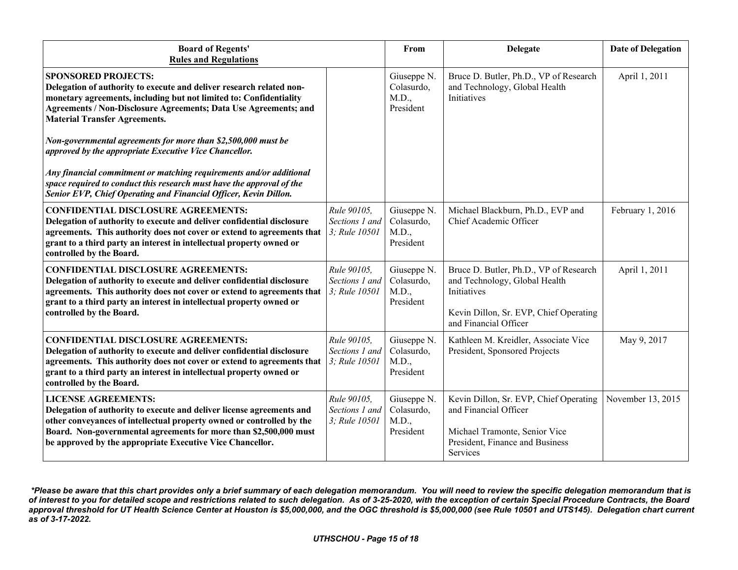| <b>Board of Regents'</b><br><b>Rules and Regulations</b>                                                                                                                                                                                                                                                                               |                                                | From                                            | <b>Delegate</b>                                                                                                                                           | <b>Date of Delegation</b> |
|----------------------------------------------------------------------------------------------------------------------------------------------------------------------------------------------------------------------------------------------------------------------------------------------------------------------------------------|------------------------------------------------|-------------------------------------------------|-----------------------------------------------------------------------------------------------------------------------------------------------------------|---------------------------|
| <b>SPONSORED PROJECTS:</b><br>Delegation of authority to execute and deliver research related non-<br>monetary agreements, including but not limited to: Confidentiality<br>Agreements / Non-Disclosure Agreements; Data Use Agreements; and<br><b>Material Transfer Agreements.</b>                                                   |                                                | Giuseppe N.<br>Colasurdo,<br>M.D.,<br>President | Bruce D. Butler, Ph.D., VP of Research<br>and Technology, Global Health<br>Initiatives                                                                    | April 1, 2011             |
| Non-governmental agreements for more than \$2,500,000 must be<br>approved by the appropriate Executive Vice Chancellor.                                                                                                                                                                                                                |                                                |                                                 |                                                                                                                                                           |                           |
| Any financial commitment or matching requirements and/or additional<br>space required to conduct this research must have the approval of the<br>Senior EVP, Chief Operating and Financial Officer, Kevin Dillon.                                                                                                                       |                                                |                                                 |                                                                                                                                                           |                           |
| <b>CONFIDENTIAL DISCLOSURE AGREEMENTS:</b><br>Delegation of authority to execute and deliver confidential disclosure<br>agreements. This authority does not cover or extend to agreements that<br>grant to a third party an interest in intellectual property owned or<br>controlled by the Board.                                     | Rule 90105.<br>Sections 1 and<br>3; Rule 10501 | Giuseppe N.<br>Colasurdo,<br>M.D.,<br>President | Michael Blackburn, Ph.D., EVP and<br>Chief Academic Officer                                                                                               | February 1, 2016          |
| <b>CONFIDENTIAL DISCLOSURE AGREEMENTS:</b><br>Delegation of authority to execute and deliver confidential disclosure<br>agreements. This authority does not cover or extend to agreements that $\left 3\right\rangle$ . Rule 10501<br>grant to a third party an interest in intellectual property owned or<br>controlled by the Board. | Rule 90105,<br>Sections 1 and                  | Giuseppe N.<br>Colasurdo,<br>M.D.,<br>President | Bruce D. Butler, Ph.D., VP of Research<br>and Technology, Global Health<br>Initiatives<br>Kevin Dillon, Sr. EVP, Chief Operating<br>and Financial Officer | April 1, 2011             |
| <b>CONFIDENTIAL DISCLOSURE AGREEMENTS:</b><br>Delegation of authority to execute and deliver confidential disclosure<br>agreements. This authority does not cover or extend to agreements that<br>grant to a third party an interest in intellectual property owned or<br>controlled by the Board.                                     | Rule 90105.<br>Sections 1 and<br>3; Rule 10501 | Giuseppe N.<br>Colasurdo,<br>M.D.,<br>President | Kathleen M. Kreidler, Associate Vice<br>President, Sponsored Projects                                                                                     | May 9, 2017               |
| <b>LICENSE AGREEMENTS:</b><br>Delegation of authority to execute and deliver license agreements and<br>other conveyances of intellectual property owned or controlled by the<br>Board. Non-governmental agreements for more than \$2,500,000 must<br>be approved by the appropriate Executive Vice Chancellor.                         | Rule 90105.<br>Sections 1 and<br>3; Rule 10501 | Giuseppe N.<br>Colasurdo,<br>M.D.,<br>President | Kevin Dillon, Sr. EVP, Chief Operating<br>and Financial Officer<br>Michael Tramonte, Senior Vice<br>President, Finance and Business<br>Services           | November 13, 2015         |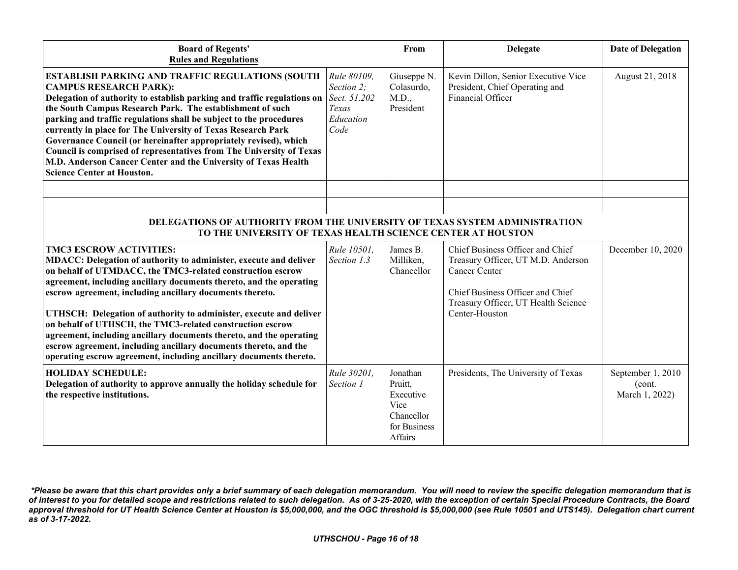| <b>Board of Regents'</b><br><b>Rules and Regulations</b>                                                                                                                                                                                                                                                                                                                                                                                                                                                                                                                                                                                                 |                                                         | From                                                                              | <b>Delegate</b>                                                                                                                                                                      | <b>Date of Delegation</b>                     |
|----------------------------------------------------------------------------------------------------------------------------------------------------------------------------------------------------------------------------------------------------------------------------------------------------------------------------------------------------------------------------------------------------------------------------------------------------------------------------------------------------------------------------------------------------------------------------------------------------------------------------------------------------------|---------------------------------------------------------|-----------------------------------------------------------------------------------|--------------------------------------------------------------------------------------------------------------------------------------------------------------------------------------|-----------------------------------------------|
| <b>ESTABLISH PARKING AND TRAFFIC REGULATIONS (SOUTH</b><br><b>CAMPUS RESEARCH PARK):</b><br>Delegation of authority to establish parking and traffic regulations on Sect. 51.202<br>the South Campus Research Park. The establishment of such<br>parking and traffic regulations shall be subject to the procedures<br>currently in place for The University of Texas Research Park<br>Governance Council (or hereinafter appropriately revised), which<br>Council is comprised of representatives from The University of Texas<br>M.D. Anderson Cancer Center and the University of Texas Health<br><b>Science Center at Houston.</b>                   | Rule 80109,<br>Section 2;<br>Texas<br>Education<br>Code | Giuseppe N.<br>Colasurdo,<br>M.D.,<br>President                                   | Kevin Dillon, Senior Executive Vice<br>President, Chief Operating and<br>Financial Officer                                                                                           | August 21, 2018                               |
|                                                                                                                                                                                                                                                                                                                                                                                                                                                                                                                                                                                                                                                          |                                                         |                                                                                   |                                                                                                                                                                                      |                                               |
|                                                                                                                                                                                                                                                                                                                                                                                                                                                                                                                                                                                                                                                          |                                                         |                                                                                   |                                                                                                                                                                                      |                                               |
| DELEGATIONS OF AUTHORITY FROM THE UNIVERSITY OF TEXAS SYSTEM ADMINISTRATION<br>TO THE UNIVERSITY OF TEXAS HEALTH SCIENCE CENTER AT HOUSTON                                                                                                                                                                                                                                                                                                                                                                                                                                                                                                               |                                                         |                                                                                   |                                                                                                                                                                                      |                                               |
| <b>TMC3 ESCROW ACTIVITIES:</b><br>MDACC: Delegation of authority to administer, execute and deliver<br>on behalf of UTMDACC, the TMC3-related construction escrow<br>agreement, including ancillary documents thereto, and the operating<br>escrow agreement, including ancillary documents thereto.<br>UTHSCH: Delegation of authority to administer, execute and deliver<br>on behalf of UTHSCH, the TMC3-related construction escrow<br>agreement, including ancillary documents thereto, and the operating<br>escrow agreement, including ancillary documents thereto, and the<br>operating escrow agreement, including ancillary documents thereto. | Rule 10501,<br>Section 1.3                              | James B.<br>Milliken,<br>Chancellor                                               | Chief Business Officer and Chief<br>Treasury Officer, UT M.D. Anderson<br>Cancer Center<br>Chief Business Officer and Chief<br>Treasury Officer, UT Health Science<br>Center-Houston | December 10, 2020                             |
| <b>HOLIDAY SCHEDULE:</b><br>Delegation of authority to approve annually the holiday schedule for<br>the respective institutions.                                                                                                                                                                                                                                                                                                                                                                                                                                                                                                                         | Rule 30201,<br>Section 1                                | Jonathan<br>Pruitt,<br>Executive<br>Vice<br>Chancellor<br>for Business<br>Affairs | Presidents, The University of Texas                                                                                                                                                  | September 1, 2010<br>(cont.<br>March 1, 2022) |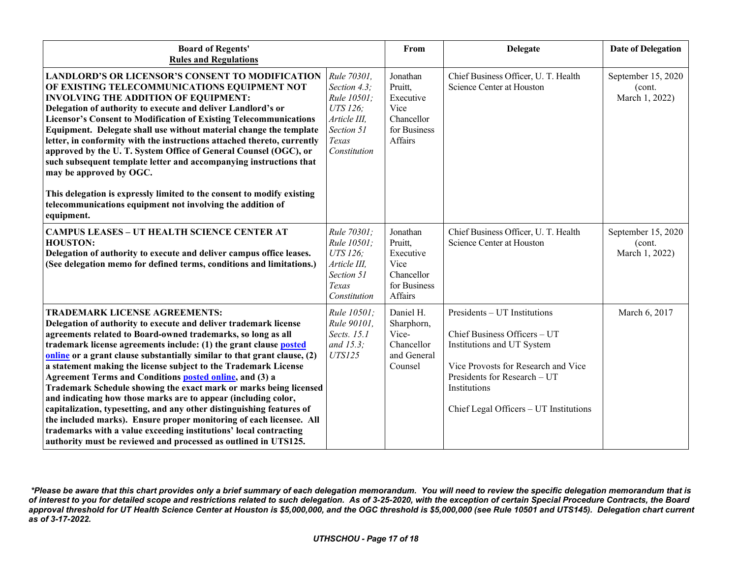| <b>Board of Regents'</b><br><b>Rules and Regulations</b>                                                                                                                                                                                                                                                                                                                                                                                                                                                                                                                                                                                                                                                                                                                                                                                                                                       |                                                                                                               | From                                                                              | <b>Delegate</b>                                                                                                                                                                                                             | <b>Date of Delegation</b>                      |
|------------------------------------------------------------------------------------------------------------------------------------------------------------------------------------------------------------------------------------------------------------------------------------------------------------------------------------------------------------------------------------------------------------------------------------------------------------------------------------------------------------------------------------------------------------------------------------------------------------------------------------------------------------------------------------------------------------------------------------------------------------------------------------------------------------------------------------------------------------------------------------------------|---------------------------------------------------------------------------------------------------------------|-----------------------------------------------------------------------------------|-----------------------------------------------------------------------------------------------------------------------------------------------------------------------------------------------------------------------------|------------------------------------------------|
| <b>LANDLORD'S OR LICENSOR'S CONSENT TO MODIFICATION</b><br>OF EXISTING TELECOMMUNICATIONS EQUIPMENT NOT<br><b>INVOLVING THE ADDITION OF EQUIPMENT:</b><br>Delegation of authority to execute and deliver Landlord's or<br><b>Licensor's Consent to Modification of Existing Telecommunications</b><br>Equipment. Delegate shall use without material change the template<br>letter, in conformity with the instructions attached thereto, currently<br>approved by the U.T. System Office of General Counsel (OGC), or<br>such subsequent template letter and accompanying instructions that<br>may be approved by OGC.<br>This delegation is expressly limited to the consent to modify existing<br>telecommunications equipment not involving the addition of<br>equipment.                                                                                                                  | Rule 70301,<br>Section 4.3;<br>Rule 10501;<br>UTS 126;<br>Article III,<br>Section 51<br>Texas<br>Constitution | Jonathan<br>Pruitt,<br>Executive<br>Vice<br>Chancellor<br>for Business<br>Affairs | Chief Business Officer, U. T. Health<br>Science Center at Houston                                                                                                                                                           | September 15, 2020<br>(cont.<br>March 1, 2022) |
| <b>CAMPUS LEASES - UT HEALTH SCIENCE CENTER AT</b><br><b>HOUSTON:</b><br>Delegation of authority to execute and deliver campus office leases.<br>(See delegation memo for defined terms, conditions and limitations.)                                                                                                                                                                                                                                                                                                                                                                                                                                                                                                                                                                                                                                                                          | Rule 70301;<br>Rule 10501;<br>UTS 126;<br>Article III,<br>Section 51<br>Texas<br>Constitution                 | Jonathan<br>Pruitt,<br>Executive<br>Vice<br>Chancellor<br>for Business<br>Affairs | Chief Business Officer, U. T. Health<br>Science Center at Houston                                                                                                                                                           | September 15, 2020<br>(cont.<br>March 1, 2022) |
| <b>TRADEMARK LICENSE AGREEMENTS:</b><br>Delegation of authority to execute and deliver trademark license<br>agreements related to Board-owned trademarks, so long as all<br>trademark license agreements include: (1) the grant clause posted<br>online or a grant clause substantially similar to that grant clause, (2)<br>a statement making the license subject to the Trademark License<br>Agreement Terms and Conditions <b>posted online</b> , and (3) a<br>Trademark Schedule showing the exact mark or marks being licensed<br>and indicating how those marks are to appear (including color,<br>capitalization, typesetting, and any other distinguishing features of<br>the included marks). Ensure proper monitoring of each licensee. All<br>trademarks with a value exceeding institutions' local contracting<br>authority must be reviewed and processed as outlined in UTS125. | Rule 10501;<br>Rule 90101,<br>Sects. 15.1<br>and 15.3;<br><b>UTS125</b>                                       | Daniel H.<br>Sharphorn,<br>Vice-<br>Chancellor<br>and General<br>Counsel          | Presidents - UT Institutions<br>Chief Business Officers - UT<br>Institutions and UT System<br>Vice Provosts for Research and Vice<br>Presidents for Research - UT<br>Institutions<br>Chief Legal Officers - UT Institutions | March 6, 2017                                  |